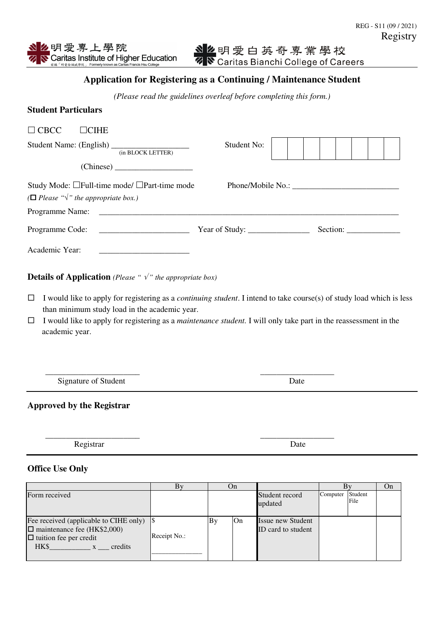么明愛專上學院 Caritas Institute of Higher Education

# **Application for Registering as a Continuing / Maintenance Student**

*(Please read the guidelines overleaf before completing this form.)* 

### **Student Particulars**

| $\Box$ CBCC                                          | $\neg$ CIHE                                                                                                            |                              |          |  |
|------------------------------------------------------|------------------------------------------------------------------------------------------------------------------------|------------------------------|----------|--|
|                                                      | (in BLOCK LETTER)                                                                                                      | Student No:                  |          |  |
|                                                      |                                                                                                                        |                              |          |  |
|                                                      | Study Mode: □Full-time mode/ □Part-time mode                                                                           | Phone/Mobile No.:            |          |  |
| ( $\Box$ Please " $\sqrt{ }$ " the appropriate box.) |                                                                                                                        |                              |          |  |
| Programme Name:                                      | <u> 1980 - Jan Samuel Barbara, margaret e populazion del control del control del control del control de la control</u> |                              |          |  |
| Programme Code:                                      |                                                                                                                        | Year of Study: $\frac{1}{2}$ | Section: |  |
| Academic Year:                                       |                                                                                                                        |                              |          |  |

# **Details of Application** *(Please "*  $\sqrt{\ }$ *" the appropriate box)*

- $\Box$  I would like to apply for registering as a *continuing student*. I intend to take course(s) of study load which is less than minimum study load in the academic year.
- I would like to apply for registering as a *maintenance student.* I will only take part in the reassessment in the academic year.

 $\overline{\phantom{a}}$  ,  $\overline{\phantom{a}}$  ,  $\overline{\phantom{a}}$  ,  $\overline{\phantom{a}}$  ,  $\overline{\phantom{a}}$  ,  $\overline{\phantom{a}}$  ,  $\overline{\phantom{a}}$  ,  $\overline{\phantom{a}}$  ,  $\overline{\phantom{a}}$  ,  $\overline{\phantom{a}}$  ,  $\overline{\phantom{a}}$  ,  $\overline{\phantom{a}}$  ,  $\overline{\phantom{a}}$  ,  $\overline{\phantom{a}}$  ,  $\overline{\phantom{a}}$  ,  $\overline{\phantom{a}}$ Signature of Student Date

### **Approved by the Registrar**

Registrar Date

#### **Office Use Only**

|                                                                                                                                          | Βv           | On |    |                                                |                  |      | On |
|------------------------------------------------------------------------------------------------------------------------------------------|--------------|----|----|------------------------------------------------|------------------|------|----|
| Form received                                                                                                                            |              |    |    | Student record<br>updated                      | Computer Student | File |    |
| Fee received (applicable to CIHE only)<br>$\square$ maintenance fee (HK\$2,000)<br>$\Box$ tuition fee per credit<br>HK\$<br>credits<br>X | Receipt No.: | Bv | On | <b>Issue new Student</b><br>ID card to student |                  |      |    |

 $\overline{\phantom{a}}$  , and the contract of the contract of the contract of the contract of the contract of the contract of the contract of the contract of the contract of the contract of the contract of the contract of the contrac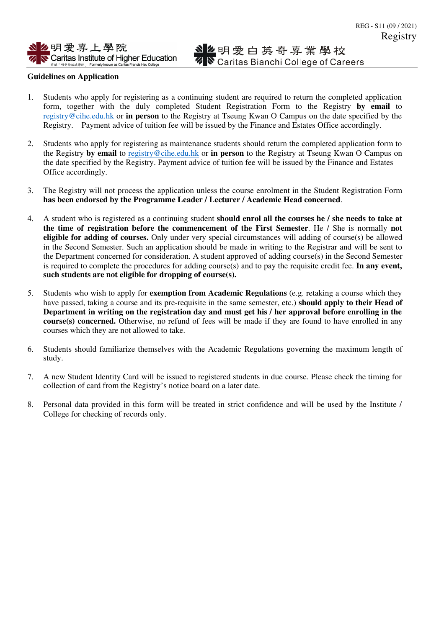#### **Guidelines on Application**

- 1. Students who apply for registering as a continuing student are required to return the completed application form, together with the duly completed Student Registration Form to the Registry **by email** to registry@cihe.edu.hk or **in person** to the Registry at Tseung Kwan O Campus on the date specified by the Registry. Payment advice of tuition fee will be issued by the Finance and Estates Office accordingly.
- 2. Students who apply for registering as maintenance students should return the completed application form to the Registry **by email** to registry@cihe.edu.hk or **in person** to the Registry at Tseung Kwan O Campus on the date specified by the Registry. Payment advice of tuition fee will be issued by the Finance and Estates Office accordingly.
- 3. The Registry will not process the application unless the course enrolment in the Student Registration Form **has been endorsed by the Programme Leader / Lecturer / Academic Head concerned**.
- 4. A student who is registered as a continuing student **should enrol all the courses he / she needs to take at the time of registration before the commencement of the First Semester**. He / She is normally **not eligible for adding of courses.** Only under very special circumstances will adding of course(s) be allowed in the Second Semester. Such an application should be made in writing to the Registrar and will be sent to the Department concerned for consideration. A student approved of adding course(s) in the Second Semester is required to complete the procedures for adding course(s) and to pay the requisite credit fee. **In any event, such students are not eligible for dropping of course(s).**
- 5. Students who wish to apply for **exemption from Academic Regulations** (e.g. retaking a course which they have passed, taking a course and its pre-requisite in the same semester, etc.) **should apply to their Head of Department in writing on the registration day and must get his / her approval before enrolling in the course(s) concerned.** Otherwise, no refund of fees will be made if they are found to have enrolled in any courses which they are not allowed to take.
- 6. Students should familiarize themselves with the Academic Regulations governing the maximum length of study.
- 7. A new Student Identity Card will be issued to registered students in due course. Please check the timing for collection of card from the Registry's notice board on a later date.
- 8. Personal data provided in this form will be treated in strict confidence and will be used by the Institute / College for checking of records only.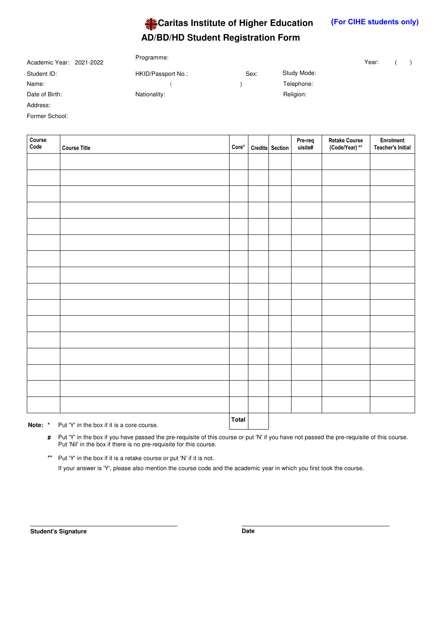

| Year: |  |
|-------|--|
|       |  |

| Academic Year: 2021-2022 | Programme:         |      |             | Year: |  |
|--------------------------|--------------------|------|-------------|-------|--|
| Student ID:              | HKID/Passport No.: | Sex: | Study Mode: |       |  |
| Name:                    |                    |      | Telephone:  |       |  |
| Date of Birth:           | Nationality:       |      | Religion:   |       |  |
| Address:                 |                    |      |             |       |  |

Programme:

Former School:

| Course<br>Code | <b>Course Title</b>                                              | $Core^*$     | Credits Section | Pre-req<br>uisite# | Retake Course<br>(Code/Year) ** | Enrolment<br><b>Teacher's Initial</b> |
|----------------|------------------------------------------------------------------|--------------|-----------------|--------------------|---------------------------------|---------------------------------------|
|                |                                                                  |              |                 |                    |                                 |                                       |
|                |                                                                  |              |                 |                    |                                 |                                       |
|                |                                                                  |              |                 |                    |                                 |                                       |
|                |                                                                  |              |                 |                    |                                 |                                       |
|                |                                                                  |              |                 |                    |                                 |                                       |
|                |                                                                  |              |                 |                    |                                 |                                       |
|                |                                                                  |              |                 |                    |                                 |                                       |
|                |                                                                  |              |                 |                    |                                 |                                       |
|                |                                                                  |              |                 |                    |                                 |                                       |
|                |                                                                  |              |                 |                    |                                 |                                       |
|                |                                                                  |              |                 |                    |                                 |                                       |
|                |                                                                  |              |                 |                    |                                 |                                       |
|                |                                                                  |              |                 |                    |                                 |                                       |
|                |                                                                  |              |                 |                    |                                 |                                       |
|                |                                                                  |              |                 |                    |                                 |                                       |
|                |                                                                  |              |                 |                    |                                 |                                       |
|                | $\sim$ $\sim$ $\sim$ $\sim$ $\sim$ $\sim$ $\sim$<br>$\mathbf{r}$ | <b>Total</b> |                 |                    |                                 |                                       |

**Note: \*** Put 'Y' in the box if it is a core course.

Put 'Y' in the box if you have passed the pre-requisite of this course or put 'N' if you have not passed the pre-requisite of this course. **#** Put 'Nil' in the box if there is no pre-requisite for this course.

\*\* Put 'Y' in the box if it is a retake course or put 'N' if it is not. If your answer is 'Y', please also mention the course code and the academic year in which you first took the course.

**Student's Signature Date**